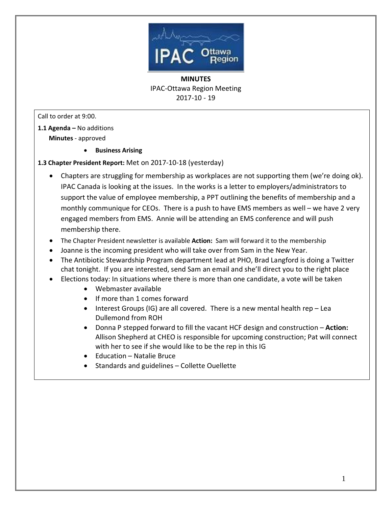

Call to order at 9:00.

- **1.1 Agenda –** No additions  **Minutes** - approved
	- · **Business Arising**

#### **1.3 Chapter President Report:** Met on 2017-10-18 (yesterday)

- · Chapters are struggling for membership as workplaces are not supporting them (we're doing ok). IPAC Canada is looking at the issues. In the works is a letter to employers/administrators to support the value of employee membership, a PPT outlining the benefits of membership and a monthly communique for CEOs. There is a push to have EMS members as well – we have 2 very engaged members from EMS. Annie will be attending an EMS conference and will push membership there.
- · The Chapter President newsletter is available **Action:** Sam will forward it to the membership
- · Joanne is the incoming president who will take over from Sam in the New Year.
- · The Antibiotic Stewardship Program department lead at PHO, Brad Langford is doing a Twitter chat tonight. If you are interested, send Sam an email and she'll direct you to the right place
- · Elections today: In situations where there is more than one candidate, a vote will be taken
	- · Webmaster available
	- · If more than 1 comes forward
	- Interest Groups (IG) are all covered. There is a new mental health rep Lea Dullemond from ROH
	- · Donna P stepped forward to fill the vacant HCF design and construction **Action:** Allison Shepherd at CHEO is responsible for upcoming construction; Pat will connect with her to see if she would like to be the rep in this IG
	- · Education Natalie Bruce
	- · Standards and guidelines Collette Ouellette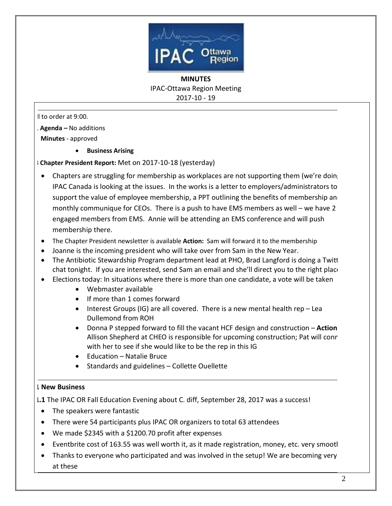

Il to order at 9:00.

**1.1 Agenda –** No additions

 **Minutes** - approved

· **Business Arising** 

**1.3 Chapter President Report:** Met on 2017-10-18 (yesterday)

- Chapters are struggling for membership as workplaces are not supporting them (we're doing IPAC Canada is looking at the issues. In the works is a letter to employers/administrators to support the value of employee membership, a PPT outlining the benefits of membership and monthly communique for CEOs. There is a push to have EMS members as well – we have 2 engaged members from EMS. Annie will be attending an EMS conference and will push membership there.
- · The Chapter President newsletter is available **Action:** Sam will forward it to the membership
- · Joanne is the incoming president who will take over from Sam in the New Year.
- The Antibiotic Stewardship Program department lead at PHO, Brad Langford is doing a Twitt chat tonight. If you are interested, send Sam an email and she'll direct you to the right place
- · Elections today: In situations where there is more than one candidate, a vote will be taken
	- · Webmaster available
	- · If more than 1 comes forward
	- Interest Groups (IG) are all covered. There is a new mental health rep Lea Dullemond from ROH
	- · Donna P stepped forward to fill the vacant HCF design and construction **Action:** Allison Shepherd at CHEO is responsible for upcoming construction; Pat will conre with her to see if she would like to be the rep in this IG
	- · Education Natalie Bruce
	- · Standards and guidelines Collette Ouellette

#### **.1 New Business**

**.1.1** The IPAC OR Fall Education Evening about C. diff, September 28, 2017 was a success!

- · The speakers were fantastic
- · There were 54 participants plus IPAC OR organizers to total 63 attendees
- · We made \$2345 with a \$1200.70 profit after expenses
- Eventbrite cost of 163.55 was well worth it, as it made registration, money, etc. very smootl
- Thanks to everyone who participated and was involved in the setup! We are becoming very at these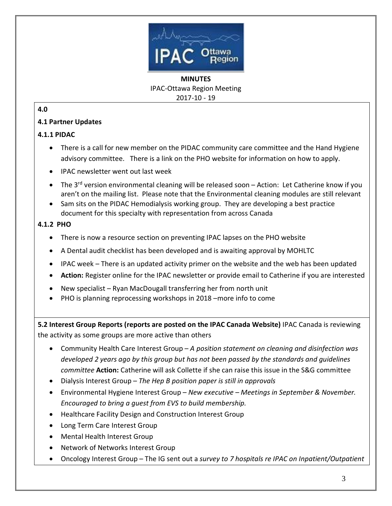

## **4.0**

## **4.1 Partner Updates**

### **4.1.1 PIDAC**

- There is a call for new member on the PIDAC community care committee and the Hand Hygiene advisory committee. There is a link on the PHO website for information on how to apply.
- · IPAC newsletter went out last week
- The 3<sup>rd</sup> version environmental cleaning will be released soon Action: Let Catherine know if you aren't on the mailing list. Please note that the Environmental cleaning modules are still relevant
- · Sam sits on the PIDAC Hemodialysis working group. They are developing a best practice document for this specialty with representation from across Canada

# **4.1.2 PHO**

- · There is now a resource section on preventing IPAC lapses on the PHO website
- · A Dental audit checklist has been developed and is awaiting approval by MOHLTC
- IPAC week There is an updated activity primer on the website and the web has been updated
- · **Action:** Register online for the IPAC newsletter or provide email to Catherine if you are interested
- New specialist Ryan MacDougall transferring her from north unit
- PHO is planning reprocessing workshops in 2018 –more info to come

**5.2 Interest Group Reports (reports are posted on the IPAC Canada Website)** IPAC Canada is reviewing the activity as some groups are more active than others

- · [Community Health Care Interest Group](http://www.ipac-canada.org/Members/members_comm.php) *A position statement on cleaning and disinfection was developed 2 years ago by this group but has not been passed by the standards and guidelines committee* **Action:** Catherine will ask Collette if she can raise this issue in the S&G committee
- · [Dialysis Interest Group](http://www.ipac-canada.org/Members/members_dial.php) *The Hep B position paper is still in approvals*
- · [Environmental Hygiene Interest Group](http://www.ipac-canada.org/Members/members_EnvHygiene.php) *New executive – Meetings in September & November. Encouraged to bring a guest from EVS to build membership.*
- · [Healthcare Facility Design and Construction Interest Group](http://www.ipac-canada.org/Members/members_construction.php)
- · [Long Term Care Interest Group](http://www.ipac-canada.org/Members/members_long.php)
- · [Mental Health Interest Group](http://www.ipac-canada.org/Members/members_mental.php)
- · [Network of Networks Interest Group](http://www.ipac-canada.org/Members/members_networks.php)
- · [Oncology Interest Group](http://www.ipac-canada.org/Members/members_oncol.php) The IG sent out a *survey to 7 hospitals re IPAC on Inpatient/Outpatient*